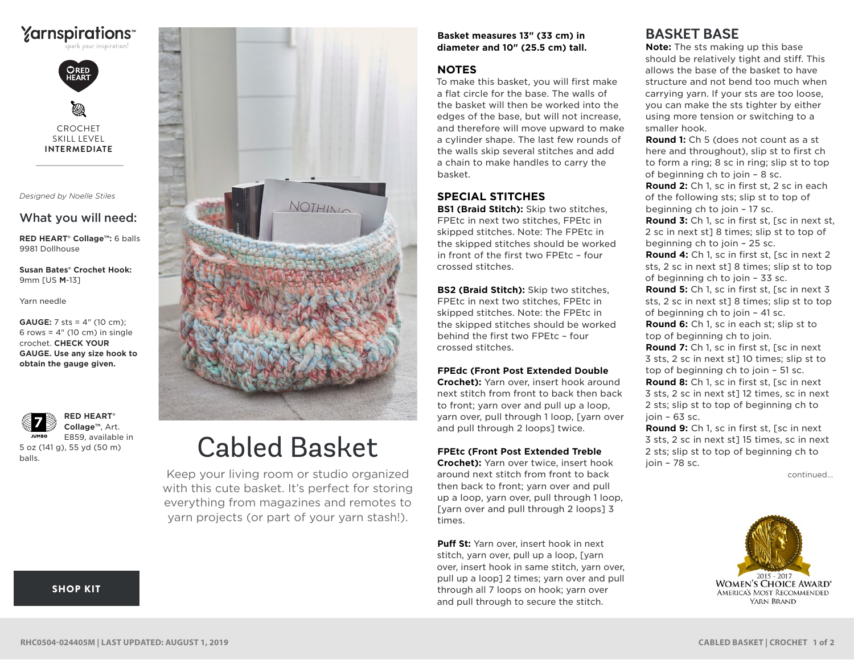



CROCHET SKILL LEVEL **INTERMEDIATE**

*Designed by Noelle Stiles*

# What you will need:

**RED HEART® Collage™:** 6 balls 9981 Dollhouse

**Susan Bates® Crochet Hook:** 9mm [US **M**-13]

Yarn needle

**GAUGE:** 7 sts = 4" (10 cm); 6 rows =  $4''$  (10 cm) in single crochet. **CHECK YOUR GAUGE. Use any size hook to obtain the gauge given.**

**RED HEART® Collage™**, Art. E859, available in **JUMBO** 5 oz (141 g), 55 yd (50 m)

balls.



# Cabled Basket

Keep your living room or studio organized with this cute basket. It's perfect for storing everything from magazines and remotes to yarn projects (or part of your yarn stash!).

#### **Basket measures 13" (33 cm) in diameter and 10" (25.5 cm) tall.**

### **NOTES**

To make this basket, you will first make a flat circle for the base. The walls of the basket will then be worked into the edges of the base, but will not increase, and therefore will move upward to make a cylinder shape. The last few rounds of the walls skip several stitches and add a chain to make handles to carry the basket.

# **SPECIAL STITCHES**

**BS1 (Braid Stitch):** Skip two stitches, FPEtc in next two stitches, FPEtc in skipped stitches. Note: The FPEtc in the skipped stitches should be worked in front of the first two FPEtc – four crossed stitches.

**BS2 (Braid Stitch):** Skip two stitches, FPEtc in next two stitches, FPEtc in skipped stitches. Note: the FPEtc in the skipped stitches should be worked behind the first two FPEtc – four crossed stitches.

#### **FPEdc (Front Post Extended Double**

**Crochet):** Yarn over, insert hook around next stitch from front to back then back to front; yarn over and pull up a loop, yarn over, pull through 1 loop, [yarn over and pull through 2 loops] twice.

#### **FPEtc (Front Post Extended Treble**

**Crochet):** Yarn over twice, insert hook around next stitch from front to back then back to front; yarn over and pull up a loop, yarn over, pull through 1 loop, [yarn over and pull through 2 loops] 3 times.

**Puff St:** Yarn over, insert hook in next stitch, yarn over, pull up a loop, [yarn over, insert hook in same stitch, yarn over, pull up a loop] 2 times; yarn over and pull through all 7 loops on hook; yarn over and pull through to secure the stitch.

# **BASKET BASE**

**Note:** The sts making up this base should be relatively tight and stiff. This allows the base of the basket to have structure and not bend too much when carrying yarn. If your sts are too loose, you can make the sts tighter by either using more tension or switching to a smaller hook.

**Round 1:** Ch 5 (does not count as a st here and throughout), slip st to first ch to form a ring; 8 sc in ring; slip st to top of beginning ch to join – 8 sc.

**Round 2:** Ch 1, sc in first st, 2 sc in each of the following sts; slip st to top of beginning ch to join – 17 sc.

**Round 3:** Ch 1, sc in first st, [sc in next st, 2 sc in next st] 8 times; slip st to top of beginning ch to join – 25 sc.

**Round 4:** Ch 1, sc in first st, [sc in next 2 sts, 2 sc in next st] 8 times; slip st to top of beginning ch to join – 33 sc.

**Round 5:** Ch 1, sc in first st, [sc in next 3 sts, 2 sc in next st] 8 times; slip st to top of beginning ch to join – 41 sc.

**Round 6:** Ch 1, sc in each st; slip st to top of beginning ch to join.

**Round 7:** Ch 1, sc in first st, [sc in next 3 sts, 2 sc in next st] 10 times; slip st to top of beginning ch to join – 51 sc. **Round 8:** Ch 1, sc in first st, [sc in next 3 sts, 2 sc in next st] 12 times, sc in next 2 sts; slip st to top of beginning ch to

join – 63 sc.

**Round 9:** Ch 1, sc in first st, [sc in next 3 sts, 2 sc in next st] 15 times, sc in next 2 sts; slip st to top of beginning ch to  $ioin - 78$  sc.

continued...



#### [SHOP KIT](https://www.yarnspirations.com/red-heart-cabled-basket/RHC0504-024405M.html#utm_source=pdf-yarnspirations&utm_medium=referral&utm_campaign=pdf-RHC0504-024405M)